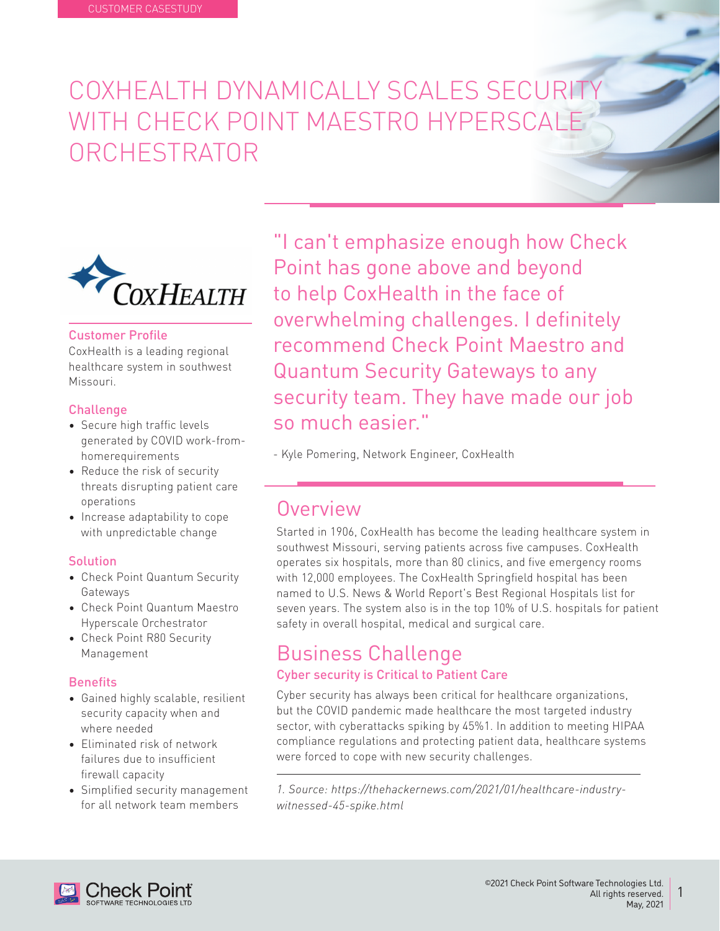# COXHEALTH DYNAMICALLY SCALES SECURIT WITH CHECK POINT MAESTRO HYPERSCALE ORCHESTRATOR



### **Customer Profile**

CoxHealth is a leading regional healthcare system in southwest Missouri.

#### **Challenge**

- Secure high traffic levels generated by COVID work-fromhomerequirements
- Reduce the risk of security threats disrupting patient care operations
- Increase adaptability to cope with unpredictable change

### **Solution**

- Check Point Quantum Security Gateways
- Check Point Quantum Maestro Hyperscale Orchestrator
- Check Point R80 Security Management

### **Benefits**

- Gained highly scalable, resilient security capacity when and where needed
- Fliminated risk of network failures due to insufficient firewall capacity
- Simplified security management for all network team members

"I can't emphasize enough how Check Point has gone above and beyond to help CoxHealth in the face of overwhelming challenges. I definitely recommend Check Point Maestro and **Quantum Security Gateways to any** security team. They have made our job so much easier "

- Kyle Pomering, Network Engineer, CoxHealth

## Overview

Started in 1906, CoxHealth has become the leading healthcare system in southwest Missouri, serving patients across five campuses. CoxHealth operates six hospitals, more than 80 clinics, and five emergency rooms with 12,000 employees. The CoxHealth Springfield hospital has been named to U.S. News & World Report's Best Regional Hospitals list for seven years. The system also is in the top 10% of U.S. hospitals for patient safety in overall hospital, medical and surgical care.

### **Business Challenge** Cyber security is Critical to Patient Care

Cyber security has always been critical for healthcare organizations. but the COVID pandemic made healthcare the most targeted industry sector, with cyberattacks spiking by 45%1. In addition to meeting HIPAA compliance regulations and protecting patient data, healthcare systems were forced to cope with new security challenges.

1. Source: https://thehackernews.com/2021/01/healthcare-industry-<br>witnessed-45-spike.html

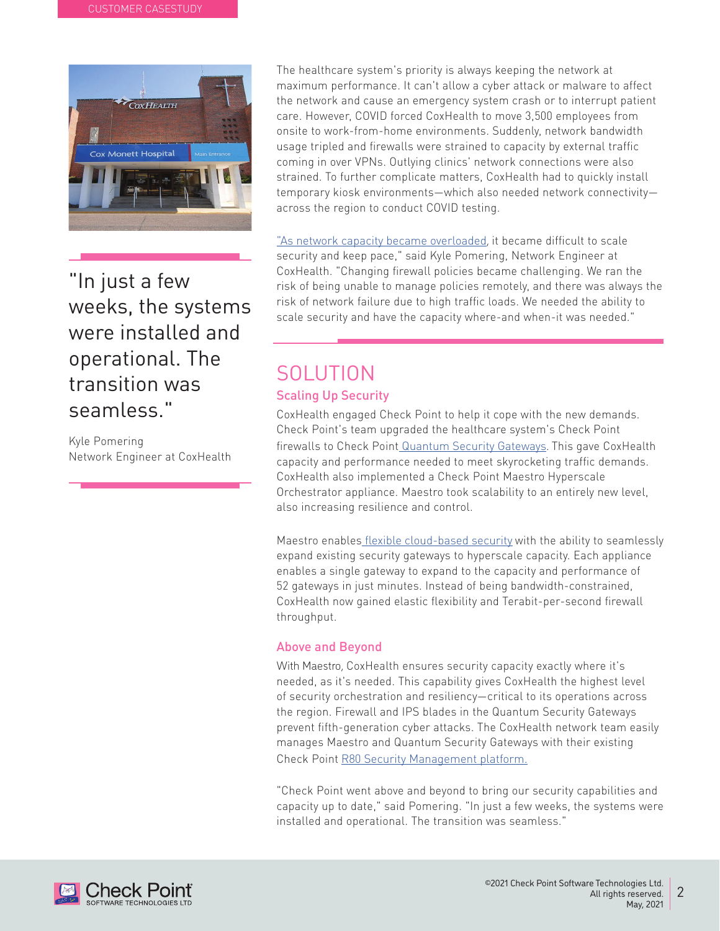

"In just a few weeks, the systems were installed and operational. The transition was seamless "

Kyle Pomering Network Engineer at CoxHealth The healthcare system's priority is always keeping the network at maximum performance. It can't allow a cyber attack or malware to affect the network and cause an emergency system crash or to interrupt patient care. However, COVID forced CoxHealth to move 3,500 employees from onsite to work-from-home environments. Suddenly, network bandwidth usage tripled and firewalls were strained to capacity by external traffic coming in over VPNs. Outlying clinics' network connections were also strained. To further complicate matters, CoxHealth had to quickly install temporary kiosk environments-which also needed network connectivityacross the region to conduct COVID testing.

"As network capacity became overloaded, it became difficult to scale security and keep pace," said Kyle Pomering, Network Engineer at CoxHealth. "Changing firewall policies became challenging. We ran the risk of being unable to manage policies remotely, and there was always the risk of network failure due to high traffic loads. We needed the ability to scale security and have the capacity where-and when-it was needed."

# **SOLUTION Scaling Up Security**

CoxHealth engaged Check Point to help it cope with the new demands. Check Point's team upgraded the healthcare system's Check Point firewalls to Check Point Quantum Security Gateways. This gave CoxHealth capacity and performance needed to meet skyrocketing traffic demands. CoxHealth also implemented a Check Point Maestro Hyperscale Orchestrator appliance. Maestro took scalability to an entirely new level, also increasing resilience and control.

Maestro enables flexible cloud-based security with the ability to seamlessly expand existing security gateways to hyperscale capacity. Each appliance enables a single gateway to expand to the capacity and performance of 52 gateways in just minutes. Instead of being bandwidth-constrained. CoxHealth now gained elastic flexibility and Terabit-per-second firewall .throughput

### **Above and Beyond**

With Maestro, CoxHealth ensures security capacity exactly where it's needed, as it's needed. This capability gives CoxHealth the highest level of security orchestration and resiliency-critical to its operations across the region. Firewall and IPS blades in the Quantum Security Gateways prevent fifth-generation cyber attacks. The CoxHealth network team easily manages Maestro and Quantum Security Gateways with their existing Check Point R80 Security Management platform.

"Check Point went above and beyond to bring our security capabilities and capacity up to date," said Pomering. "In just a few weeks, the systems were installed and operational. The transition was seamless."